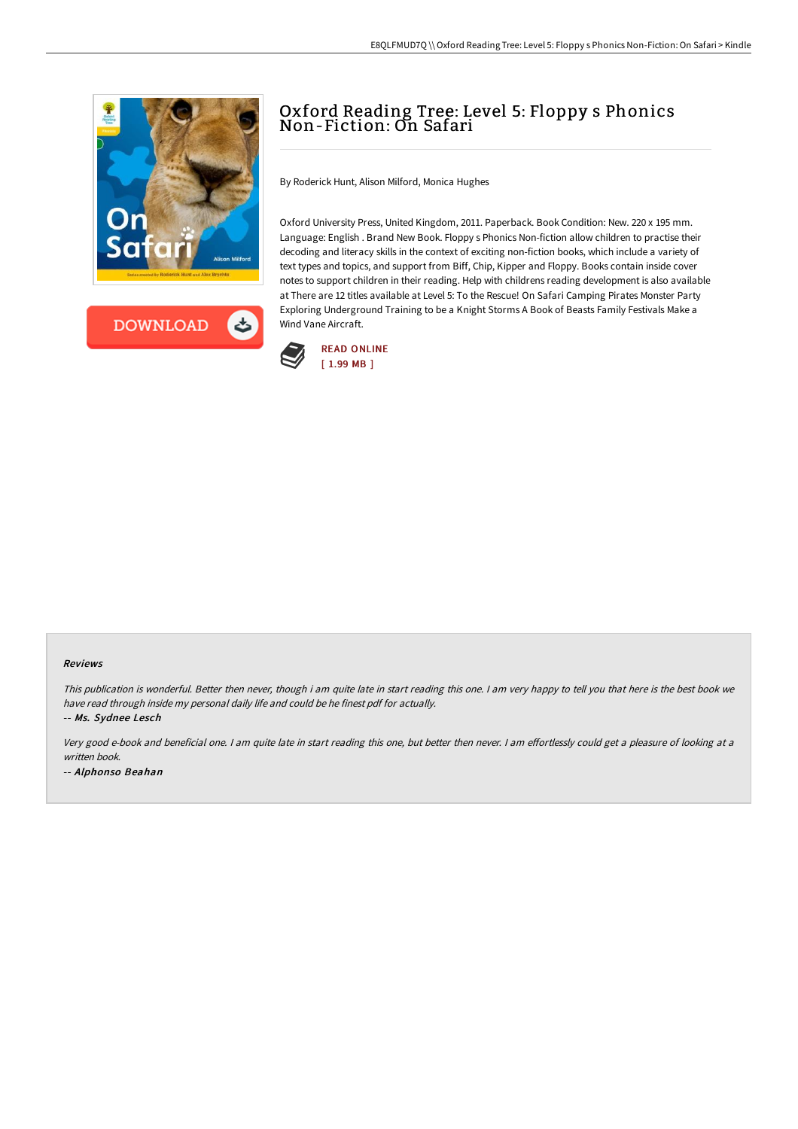



## Oxford Reading Tree: Level 5: Floppy s Phonics Non-Fiction: On Safari

By Roderick Hunt, Alison Milford, Monica Hughes

Oxford University Press, United Kingdom, 2011. Paperback. Book Condition: New. 220 x 195 mm. Language: English . Brand New Book. Floppy s Phonics Non-fiction allow children to practise their decoding and literacy skills in the context of exciting non-fiction books, which include a variety of text types and topics, and support from Biff, Chip, Kipper and Floppy. Books contain inside cover notes to support children in their reading. Help with childrens reading development is also available at There are 12 titles available at Level 5: To the Rescue! On Safari Camping Pirates Monster Party Exploring Underground Training to be a Knight Storms A Book of Beasts Family Festivals Make a Wind Vane Aircraft.



## Reviews

This publication is wonderful. Better then never, though i am quite late in start reading this one. <sup>I</sup> am very happy to tell you that here is the best book we have read through inside my personal daily life and could be he finest pdf for actually.

-- Ms. Sydnee Lesch

Very good e-book and beneficial one. I am quite late in start reading this one, but better then never. I am effortlessly could get a pleasure of looking at a written book. -- Alphonso Beahan